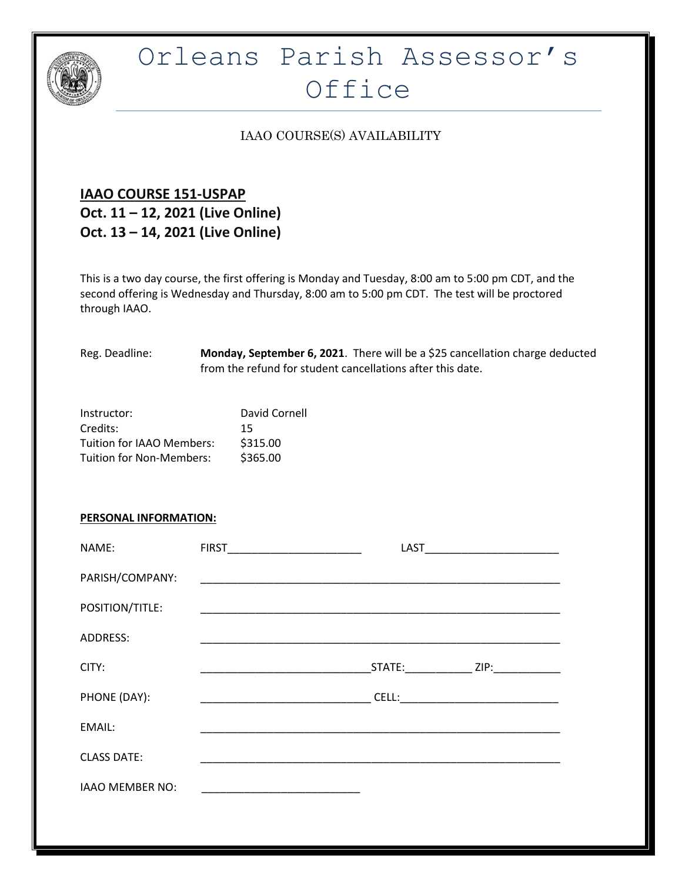

# Orleans Parish Assessor's Office

### IAAO COURSE(S) AVAILABILITY

## **IAAO COURSE 151-USPAP Oct. 11 – 12, 2021 (Live Online) Oct. 13 – 14, 2021 (Live Online)**

This is a two day course, the first offering is Monday and Tuesday, 8:00 am to 5:00 pm CDT, and the second offering is Wednesday and Thursday, 8:00 am to 5:00 pm CDT. The test will be proctored through IAAO.

| Reg. Deadline: | Monday, September 6, 2021. There will be a \$25 cancellation charge deducted |
|----------------|------------------------------------------------------------------------------|
|                | from the refund for student cancellations after this date.                   |

| Instructor:                     | David Cornell |
|---------------------------------|---------------|
| Credits:                        | 15            |
| Tuition for IAAO Members:       | \$315.00      |
| <b>Tuition for Non-Members:</b> | \$365.00      |
|                                 |               |

### **PERSONAL INFORMATION:**

| NAME:                  |                                                                                                                         | LAST              | <u> 1980 - Jan James James Barbara, president de la provincia de la provincia de la provincia de la provincia de</u> |
|------------------------|-------------------------------------------------------------------------------------------------------------------------|-------------------|----------------------------------------------------------------------------------------------------------------------|
| PARISH/COMPANY:        |                                                                                                                         |                   |                                                                                                                      |
| POSITION/TITLE:        |                                                                                                                         |                   |                                                                                                                      |
| ADDRESS:               | <u> 1980 - Jan Stein Berlin, amerikansk politiker (</u>                                                                 |                   |                                                                                                                      |
| CITY:                  |                                                                                                                         | STATE: THE STATE: | ZIP: and the state of the state of the state of the state of the state of the state of the state of the state        |
| PHONE (DAY):           | <u> 1989 - Johann John Stone, mars et al. (</u>                                                                         |                   |                                                                                                                      |
| EMAIL:                 |                                                                                                                         |                   |                                                                                                                      |
| <b>CLASS DATE:</b>     | <u> 1989 - Johann John Stoff, deutscher Stoff als der Stoff als der Stoff als der Stoff als der Stoff als der Stoff</u> |                   |                                                                                                                      |
| <b>IAAO MEMBER NO:</b> |                                                                                                                         |                   |                                                                                                                      |